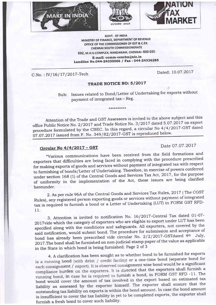





GOW. OF INDIA MINISTRY OF FINANCE, DEPARTMENT OF REVENUE OFFICE OF THE COMMISSIONER OF GST & C.EX. CHENNAI SOUTH COMMISSIONERATE 692, M.H.U.COMPLEX, NANDANAM, CHENNAI' 600 <sup>035</sup> E-mail: comm-cexchn@nic.in Landline No.044-24330066 / Fax: 044-24336285

C.No.: IV/16/17/2017-Tech Dated: 10.07.2017

## TRADE NOTICE NO: 5/2017

Sub: Issues related to Bond/Letter of Undertaking for exports without payment of integrated tax - Reg.

Attention of the Trade and, GST Assessees is invited to the above subject and this office Public Notice No. 2/2017 and Trade Notice No. 3/2017 dated 5.07.2017 on export procedure formulated by the CBEC. In this regard, a circular No 4/4/2017-GST dated 07.07.2017 issued from F. No. 349/82/2017-GST is reproduced below.

\*\*\*\*\*\*\*\*\*

## **Circular No 4/4/2017 - GST** Date 07.07.2017

"Various communications have been received from the field formations and exporters that difficulties are being faced in complying with the procedure prescribed for making exports of goods and services without payment of integrated tax with respect to furnishing of bonds/Letter of Undertaking. Therefore, in exercise of powers conferred under section 168 (1) of the Central Goods and Services Tax Act, 2017, for the purpose of uniformity in the implementation of the Act, these issues are being clarified hereunder.

2. As per rule 96A of the Central Goods and Services Tax Rules, 2017 (The CGST Rules), any registered person exporting goods or serwices without payment of integrated tax is required to furnish a bond or a Letter of Undertaking (LUT) in FORM GST RFD-11.

3. Attention is invited to notification No. 16/2017-Central Tax dated 01-07-2OITvide which the category of exporters who are eligible to export under LUT has been specified along with the conditions and safeguards. A11 exporters, not covered by the said notification, would submit bond. The procedure for submission and acceptance of bond has already been prescribed vide circular No.  $2/2/2017$ -GSTdated 4<sup>th</sup> July, 2OL7.The bond shall be furnished on non-judicial stamp paper of the value as applicable in the State in which bond is being furnished. Page 2 of <sup>3</sup>

4. Aclarification has been sought as to whether bond to be furnished for exports is a running bond (with debit / credit facility) or a one-time bond (separate bond for each consignment / export). It is observed consignment wise bond would be a significant compliance burden on the exporters. It is directed that the exporters shall furnish a running bond, in case he is required to furnish a bond, in FORM GST RFD -11. The bond would cover the amount of tax involved in the export based on estimated tax liabitity as assessed by the exporter himself. The exporter shall ensure that the outstanding tax liability on exports is within the bond amount. In case the bond amount is insufficient to cover the tax liability in yet to be completed exports, the exporter shall furnish a fresh bond to cover such liability.